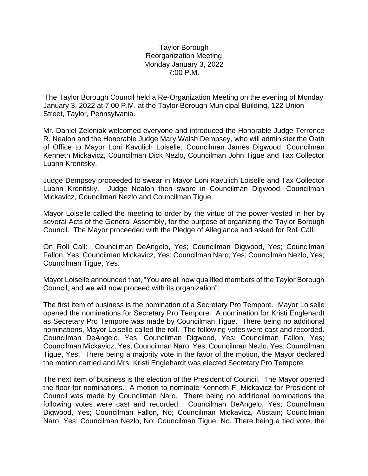## Taylor Borough Reorganization Meeting Monday January 3, 2022 7:00 P.M.

The Taylor Borough Council held a Re-Organization Meeting on the evening of Monday January 3, 2022 at 7:00 P.M. at the Taylor Borough Municipal Building, 122 Union Street, Taylor, Pennsylvania.

Mr. Daniel Zeleniak welcomed everyone and introduced the Honorable Judge Terrence R. Nealon and the Honorable Judge Mary Walsh Dempsey, who will administer the Oath of Office to Mayor Loni Kavulich Loiselle, Councilman James Digwood, Councilman Kenneth Mickavicz, Councilman Dick Nezlo, Councilman John Tigue and Tax Collector Luann Krenitsky.

Judge Dempsey proceeded to swear in Mayor Loni Kavulich Loiselle and Tax Collector Luann Krenitsky. Judge Nealon then swore in Councilman Digwood, Councilman Mickavicz, Councilman Nezlo and Councilman Tigue.

Mayor Loiselle called the meeting to order by the virtue of the power vested in her by several Acts of the General Assembly, for the purpose of organizing the Taylor Borough Council. The Mayor proceeded with the Pledge of Allegiance and asked for Roll Call.

On Roll Call: Councilman DeAngelo, Yes; Councilman Digwood, Yes; Councilman Fallon, Yes; Councilman Mickavicz, Yes; Councilman Naro, Yes; Councilman Nezlo, Yes; Councilman Tigue, Yes.

Mayor Loiselle announced that, "You are all now qualified members of the Taylor Borough Council, and we will now proceed with its organization".

The first item of business is the nomination of a Secretary Pro Tempore. Mayor Loiselle opened the nominations for Secretary Pro Tempore. A nomination for Kristi Englehardt as Secretary Pro Tempore was made by Councilman Tigue. There being no additional nominations, Mayor Loiselle called the roll. The following votes were cast and recorded. Councilman DeAngelo, Yes; Councilman Digwood, Yes; Councilman Fallon, Yes; Councilman Mickavicz, Yes; Councilman Naro, Yes; Councilman Nezlo, Yes; Councilman Tigue, Yes. There being a majority vote in the favor of the motion, the Mayor declared the motion carried and Mrs. Kristi Englehardt was elected Secretary Pro Tempore.

The next item of business is the election of the President of Council. The Mayor opened the floor for nominations. A motion to nominate Kenneth F. Mickavicz for President of Council was made by Councilman Naro. There being no additional nominations the following votes were cast and recorded. Councilman DeAngelo, Yes; Councilman Digwood, Yes; Councilman Fallon, No; Councilman Mickavicz, Abstain; Councilman Naro, Yes; Councilman Nezlo, No; Councilman Tigue, No. There being a tied vote, the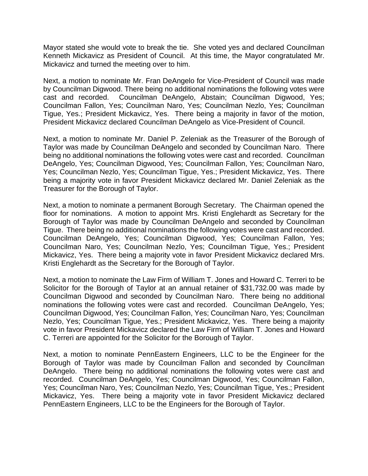Mayor stated she would vote to break the tie. She voted yes and declared Councilman Kenneth Mickavicz as President of Council. At this time, the Mayor congratulated Mr. Mickavicz and turned the meeting over to him.

Next, a motion to nominate Mr. Fran DeAngelo for Vice-President of Council was made by Councilman Digwood. There being no additional nominations the following votes were cast and recorded. Councilman DeAngelo, Abstain; Councilman Digwood, Yes; Councilman Fallon, Yes; Councilman Naro, Yes; Councilman Nezlo, Yes; Councilman Tigue, Yes.; President Mickavicz, Yes. There being a majority in favor of the motion, President Mickavicz declared Councilman DeAngelo as Vice-President of Council.

Next, a motion to nominate Mr. Daniel P. Zeleniak as the Treasurer of the Borough of Taylor was made by Councilman DeAngelo and seconded by Councilman Naro. There being no additional nominations the following votes were cast and recorded. Councilman DeAngelo, Yes; Councilman Digwood, Yes; Councilman Fallon, Yes; Councilman Naro, Yes; Councilman Nezlo, Yes; Councilman Tigue, Yes.; President Mickavicz, Yes. There being a majority vote in favor President Mickavicz declared Mr. Daniel Zeleniak as the Treasurer for the Borough of Taylor.

Next, a motion to nominate a permanent Borough Secretary. The Chairman opened the floor for nominations. A motion to appoint Mrs. Kristi Englehardt as Secretary for the Borough of Taylor was made by Councilman DeAngelo and seconded by Councilman Tigue. There being no additional nominations the following votes were cast and recorded. Councilman DeAngelo, Yes; Councilman Digwood, Yes; Councilman Fallon, Yes; Councilman Naro, Yes; Councilman Nezlo, Yes; Councilman Tigue, Yes.; President Mickavicz, Yes. There being a majority vote in favor President Mickavicz declared Mrs. Kristi Englehardt as the Secretary for the Borough of Taylor.

Next, a motion to nominate the Law Firm of William T. Jones and Howard C. Terreri to be Solicitor for the Borough of Taylor at an annual retainer of \$31,732.00 was made by Councilman Digwood and seconded by Councilman Naro. There being no additional nominations the following votes were cast and recorded. Councilman DeAngelo, Yes; Councilman Digwood, Yes; Councilman Fallon, Yes; Councilman Naro, Yes; Councilman Nezlo, Yes; Councilman Tigue, Yes.; President Mickavicz, Yes. There being a majority vote in favor President Mickavicz declared the Law Firm of William T. Jones and Howard C. Terreri are appointed for the Solicitor for the Borough of Taylor.

Next, a motion to nominate PennEastern Engineers, LLC to be the Engineer for the Borough of Taylor was made by Councilman Fallon and seconded by Councilman DeAngelo. There being no additional nominations the following votes were cast and recorded. Councilman DeAngelo, Yes; Councilman Digwood, Yes; Councilman Fallon, Yes; Councilman Naro, Yes; Councilman Nezlo, Yes; Councilman Tigue, Yes.; President Mickavicz, Yes. There being a majority vote in favor President Mickavicz declared PennEastern Engineers, LLC to be the Engineers for the Borough of Taylor.